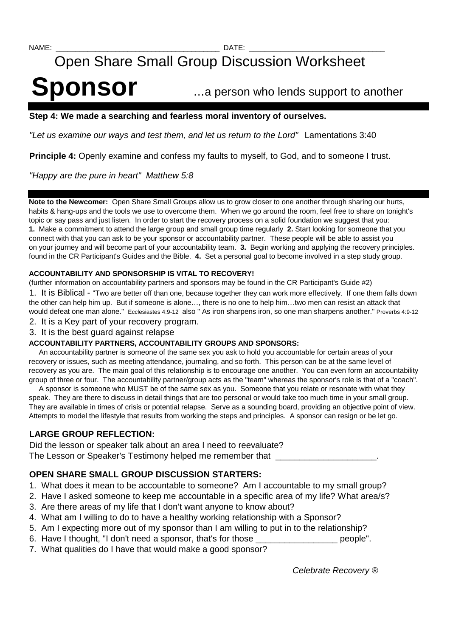# Open Share Small Group Discussion Worksheet

# **Sponsor** …a person who lends support to another

# **Step 4: We made a searching and fearless moral inventory of ourselves.**

"Let us examine our ways and test them, and let us return to the Lord" Lamentations 3:40

**Principle 4:** Openly examine and confess my faults to myself, to God, and to someone I trust.

"Happy are the pure in heart" Matthew 5:8

**Note to the Newcomer:** Open Share Small Groups allow us to grow closer to one another through sharing our hurts, habits & hang-ups and the tools we use to overcome them. When we go around the room, feel free to share on tonight's topic or say pass and just listen. In order to start the recovery process on a solid foundation we suggest that you: **1.** Make a commitment to attend the large group and small group time regularly **2.** Start looking for someone that you connect with that you can ask to be your sponsor or accountability partner. These people will be able to assist you on your journey and will become part of your accountability team. **3.** Begin working and applying the recovery principles. found in the CR Participant's Guides and the Bible. **4.** Set a personal goal to become involved in a step study group.

# **ACCOUNTABILITY AND SPONSORSHIP IS VITAL TO RECOVERY!**

(further information on accountability partners and sponsors may be found in the CR Participant's Guide #2)

1. It is Biblical - "Two are better off than one, because together they can work more effectively. If one them falls down the other can help him up. But if someone is alone…, there is no one to help him…two men can resist an attack that would defeat one man alone." Ecclesiastes 4:9-12 also " As iron sharpens iron, so one man sharpens another." Proverbs 4:9-12

- 2. It is a Key part of your recovery program.
- 3. It is the best guard against relapse

### **ACCOUNTABILITY PARTNERS, ACCOUNTABILITY GROUPS AND SPONSORS:**

 An accountability partner is someone of the same sex you ask to hold you accountable for certain areas of your recovery or issues, such as meeting attendance, journaling, and so forth. This person can be at the same level of recovery as you are. The main goal of this relationship is to encourage one another. You can even form an accountability group of three or four. The accountability partner/group acts as the "team" whereas the sponsor's role is that of a "coach".

 A sponsor is someone who MUST be of the same sex as you. Someone that you relate or resonate with what they speak. They are there to discuss in detail things that are too personal or would take too much time in your small group. They are available in times of crisis or potential relapse. Serve as a sounding board, providing an objective point of view. Attempts to model the lifestyle that results from working the steps and principles. A sponsor can resign or be let go.

# **LARGE GROUP REFLECTION:**

Did the lesson or speaker talk about an area I need to reevaluate? The Lesson or Speaker's Testimony helped me remember that

# **OPEN SHARE SMALL GROUP DISCUSSION STARTERS:**

- 1. What does it mean to be accountable to someone? Am I accountable to my small group?
- 2. Have I asked someone to keep me accountable in a specific area of my life? What area/s?
- 3. Are there areas of my life that I don't want anyone to know about?
- 4. What am I willing to do to have a healthy working relationship with a Sponsor?
- 5. Am I expecting more out of my sponsor than I am willing to put in to the relationship?
- 6. Have I thought, "I don't need a sponsor, that's for those \_\_\_\_\_\_\_\_\_\_\_\_\_\_\_\_\_ people".
- 7. What qualities do I have that would make a good sponsor?

Celebrate Recovery ®